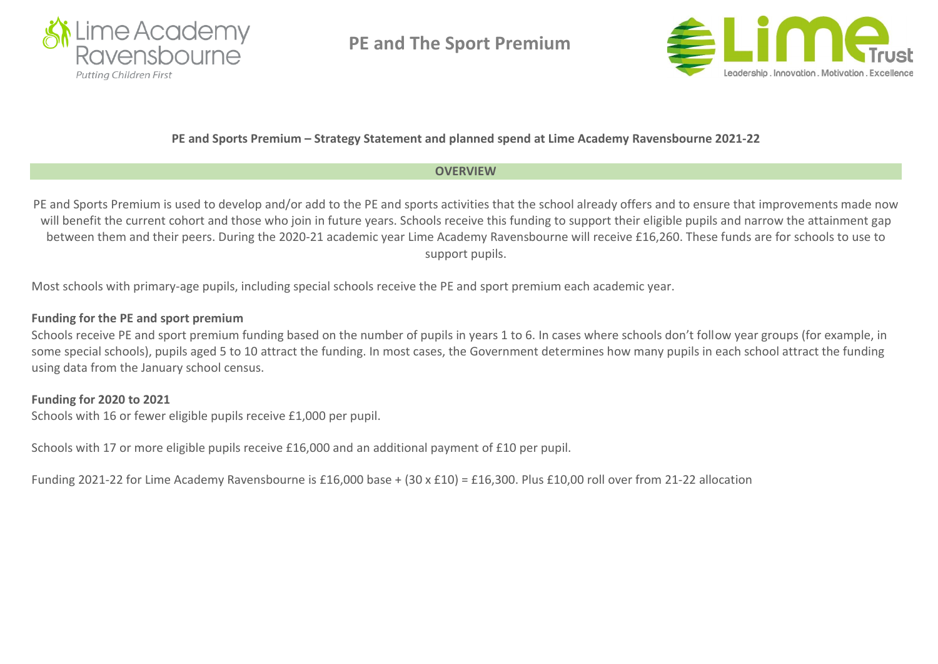

**PE and The Sport Premium** 



## **PE and Sports Premium – Strategy Statement and planned spend at Lime Academy Ravensbourne 2021-22**

## **OVERVIEW**

PE and Sports Premium is used to develop and/or add to the PE and sports activities that the school already offers and to ensure that improvements made now will benefit the current cohort and those who join in future years. Schools receive this funding to support their eligible pupils and narrow the attainment gap between them and their peers. During the 2020-21 academic year Lime Academy Ravensbourne will receive £16,260. These funds are for schools to use to support pupils.

Most schools with primary-age pupils, including special schools receive the PE and sport premium each academic year.

## **Funding for the PE and sport premium**

Schools receive PE and sport premium funding based on the number of pupils in years 1 to 6. In cases where schools don't follow year groups (for example, in some special schools), pupils aged 5 to 10 attract the funding. In most cases, the Government determines how many pupils in each school attract the funding using data from the January school census.

# **Funding for 2020 to 2021**

Schools with 16 or fewer eligible pupils receive £1,000 per pupil.

Schools with 17 or more eligible pupils receive £16,000 and an additional payment of £10 per pupil.

Funding 2021-22 for Lime Academy Ravensbourne is £16,000 base + (30 x £10) = £16,300. Plus £10,00 roll over from 21-22 allocation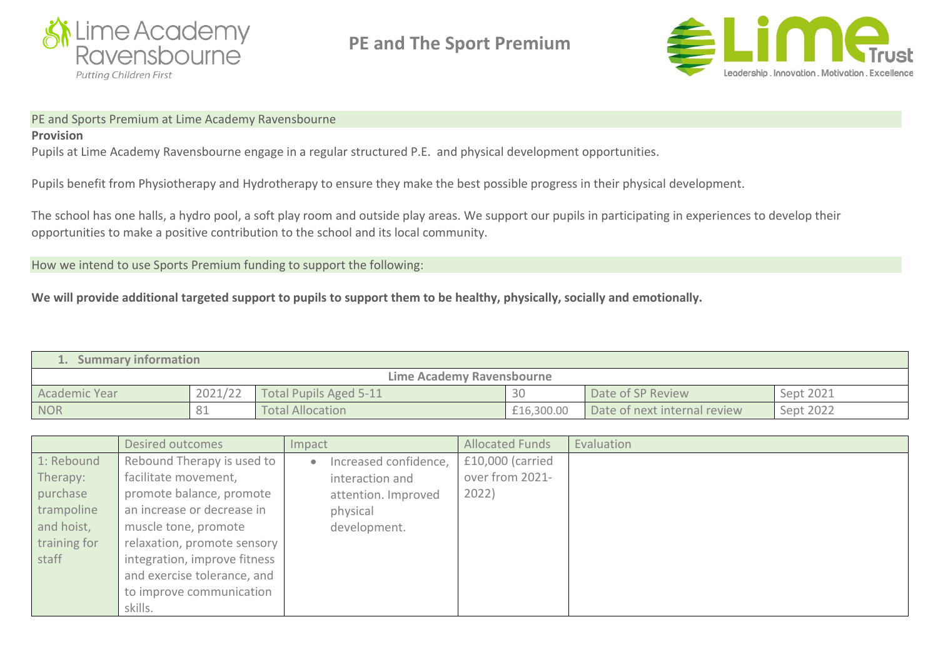

**PE and The Sport Premium** 



#### PE and Sports Premium at Lime Academy Ravensbourne

#### **Provision**

Pupils at Lime Academy Ravensbourne engage in a regular structured P.E. and physical development opportunities.

Pupils benefit from Physiotherapy and Hydrotherapy to ensure they make the best possible progress in their physical development.

The school has one halls, a hydro pool, a soft play room and outside play areas. We support our pupils in participating in experiences to develop their opportunities to make a positive contribution to the school and its local community.

How we intend to use Sports Premium funding to support the following:

We will provide additional targeted support to pupils to support them to be healthy, physically, socially and emotionally.

| <b>Summary information</b> |         |                        |            |                              |           |  |  |  |  |
|----------------------------|---------|------------------------|------------|------------------------------|-----------|--|--|--|--|
| Lime Academy Ravensbourne  |         |                        |            |                              |           |  |  |  |  |
| <b>Academic Year</b>       | 2021/22 | Total Pupils Aged 5-11 | 30         | Date of SP Review            | Sept 2021 |  |  |  |  |
| <b>NOR</b>                 | 81      | Total Allocation       | £16,300.00 | Date of next internal review | Sept 2022 |  |  |  |  |

|              | Desired outcomes             | Impact                | <b>Allocated Funds</b> | Evaluation |
|--------------|------------------------------|-----------------------|------------------------|------------|
| 1: Rebound   | Rebound Therapy is used to   | Increased confidence, | £10,000 (carried       |            |
| Therapy:     | facilitate movement,         | interaction and       | over from 2021-        |            |
| purchase     | promote balance, promote     | attention. Improved   | 2022)                  |            |
| trampoline   | an increase or decrease in   | physical              |                        |            |
| and hoist,   | muscle tone, promote         | development.          |                        |            |
| training for | relaxation, promote sensory  |                       |                        |            |
| staff        | integration, improve fitness |                       |                        |            |
|              | and exercise tolerance, and  |                       |                        |            |
|              | to improve communication     |                       |                        |            |
|              | skills.                      |                       |                        |            |